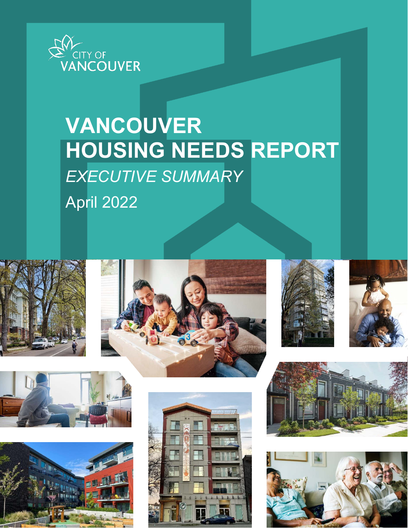

# **VANCOUVER HOUSING NEEDS REPORT** *EXECUTIVE SUMMARY*

April 2022

















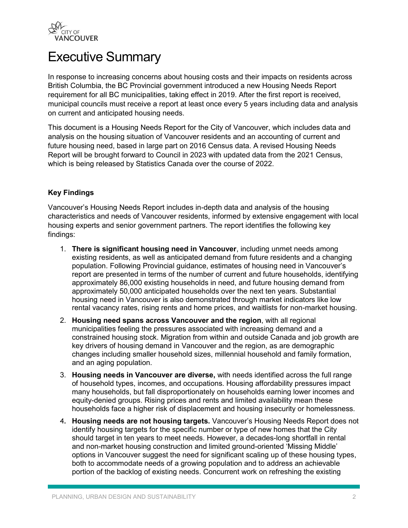

# Executive Summary

In response to increasing concerns about housing costs and their impacts on residents across British Columbia, the BC Provincial government introduced a new Housing Needs Report requirement for all BC municipalities, taking effect in 2019. After the first report is received, municipal councils must receive a report at least once every 5 years including data and analysis on current and anticipated housing needs.

This document is a Housing Needs Report for the City of Vancouver, which includes data and analysis on the housing situation of Vancouver residents and an accounting of current and future housing need, based in large part on 2016 Census data. A revised Housing Needs Report will be brought forward to Council in 2023 with updated data from the 2021 Census, which is being released by Statistics Canada over the course of 2022.

### **Key Findings**

Vancouver's Housing Needs Report includes in-depth data and analysis of the housing characteristics and needs of Vancouver residents, informed by extensive engagement with local housing experts and senior government partners. The report identifies the following key findings:

- 1. **There is significant housing need in Vancouver**, including unmet needs among existing residents, as well as anticipated demand from future residents and a changing population. Following Provincial guidance, estimates of housing need in Vancouver's report are presented in terms of the number of current and future households, identifying approximately 86,000 existing households in need, and future housing demand from approximately 50,000 anticipated households over the next ten years. Substantial housing need in Vancouver is also demonstrated through market indicators like low rental vacancy rates, rising rents and home prices, and waitlists for non-market housing.
- 2. **Housing need spans across Vancouver and the region**, with all regional municipalities feeling the pressures associated with increasing demand and a constrained housing stock. Migration from within and outside Canada and job growth are key drivers of housing demand in Vancouver and the region, as are demographic changes including smaller household sizes, millennial household and family formation, and an aging population.
- 3. **Housing needs in Vancouver are diverse,** with needs identified across the full range of household types, incomes, and occupations. Housing affordability pressures impact many households, but fall disproportionately on households earning lower incomes and equity-denied groups. Rising prices and rents and limited availability mean these households face a higher risk of displacement and housing insecurity or homelessness.
- 4. **Housing needs are not housing targets.** Vancouver's Housing Needs Report does not identify housing targets for the specific number or type of new homes that the City should target in ten years to meet needs. However, a decades-long shortfall in rental and non-market housing construction and limited ground-oriented 'Missing Middle' options in Vancouver suggest the need for significant scaling up of these housing types, both to accommodate needs of a growing population and to address an achievable portion of the backlog of existing needs. Concurrent work on refreshing the existing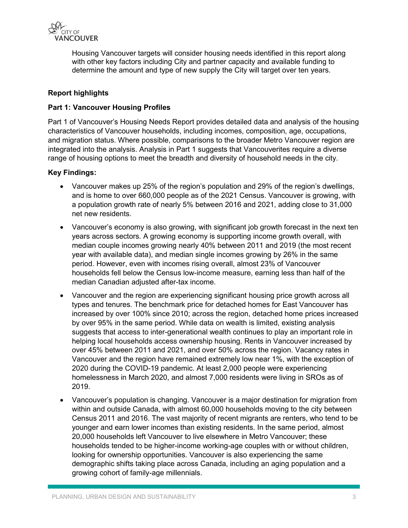

Housing Vancouver targets will consider housing needs identified in this report along with other key factors including City and partner capacity and available funding to determine the amount and type of new supply the City will target over ten years.

### **Report highlights**

#### **Part 1: Vancouver Housing Profiles**

Part 1 of Vancouver's Housing Needs Report provides detailed data and analysis of the housing characteristics of Vancouver households, including incomes, composition, age, occupations, and migration status. Where possible, comparisons to the broader Metro Vancouver region are integrated into the analysis. Analysis in Part 1 suggests that Vancouverites require a diverse range of housing options to meet the breadth and diversity of household needs in the city.

#### **Key Findings:**

- Vancouver makes up 25% of the region's population and 29% of the region's dwellings, and is home to over 660,000 people as of the 2021 Census. Vancouver is growing, with a population growth rate of nearly 5% between 2016 and 2021, adding close to 31,000 net new residents.
- Vancouver's economy is also growing, with significant job growth forecast in the next ten years across sectors. A growing economy is supporting income growth overall, with median couple incomes growing nearly 40% between 2011 and 2019 (the most recent year with available data), and median single incomes growing by 26% in the same period. However, even with incomes rising overall, almost 23% of Vancouver households fell below the Census low-income measure, earning less than half of the median Canadian adjusted after-tax income.
- Vancouver and the region are experiencing significant housing price growth across all types and tenures. The benchmark price for detached homes for East Vancouver has increased by over 100% since 2010; across the region, detached home prices increased by over 95% in the same period. While data on wealth is limited, existing analysis suggests that access to inter-generational wealth continues to play an important role in helping local households access ownership housing. Rents in Vancouver increased by over 45% between 2011 and 2021, and over 50% across the region. Vacancy rates in Vancouver and the region have remained extremely low near 1%, with the exception of 2020 during the COVID-19 pandemic. At least 2,000 people were experiencing homelessness in March 2020, and almost 7,000 residents were living in SROs as of 2019.
- Vancouver's population is changing. Vancouver is a major destination for migration from within and outside Canada, with almost 60,000 households moving to the city between Census 2011 and 2016. The vast majority of recent migrants are renters, who tend to be younger and earn lower incomes than existing residents. In the same period, almost 20,000 households left Vancouver to live elsewhere in Metro Vancouver; these households tended to be higher-income working-age couples with or without children, looking for ownership opportunities. Vancouver is also experiencing the same demographic shifts taking place across Canada, including an aging population and a growing cohort of family-age millennials.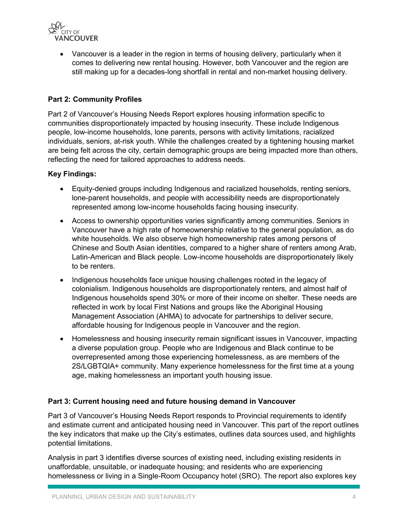

 Vancouver is a leader in the region in terms of housing delivery, particularly when it comes to delivering new rental housing. However, both Vancouver and the region are still making up for a decades-long shortfall in rental and non-market housing delivery.

## **Part 2: Community Profiles**

Part 2 of Vancouver's Housing Needs Report explores housing information specific to communities disproportionately impacted by housing insecurity. These include Indigenous people, low-income households, lone parents, persons with activity limitations, racialized individuals, seniors, at-risk youth. While the challenges created by a tightening housing market are being felt across the city, certain demographic groups are being impacted more than others, reflecting the need for tailored approaches to address needs.

### **Key Findings:**

- Equity-denied groups including Indigenous and racialized households, renting seniors, lone-parent households, and people with accessibility needs are disproportionately represented among low-income households facing housing insecurity.
- Access to ownership opportunities varies significantly among communities. Seniors in Vancouver have a high rate of homeownership relative to the general population, as do white households. We also observe high homeownership rates among persons of Chinese and South Asian identities, compared to a higher share of renters among Arab, Latin-American and Black people. Low-income households are disproportionately likely to be renters.
- Indigenous households face unique housing challenges rooted in the legacy of colonialism. Indigenous households are disproportionately renters, and almost half of Indigenous households spend 30% or more of their income on shelter. These needs are reflected in work by local First Nations and groups like the Aboriginal Housing Management Association (AHMA) to advocate for partnerships to deliver secure, affordable housing for Indigenous people in Vancouver and the region.
- Homelessness and housing insecurity remain significant issues in Vancouver, impacting a diverse population group. People who are Indigenous and Black continue to be overrepresented among those experiencing homelessness, as are members of the 2S/LGBTQIA+ community. Many experience homelessness for the first time at a young age, making homelessness an important youth housing issue.

### **Part 3: Current housing need and future housing demand in Vancouver**

Part 3 of Vancouver's Housing Needs Report responds to Provincial requirements to identify and estimate current and anticipated housing need in Vancouver. This part of the report outlines the key indicators that make up the City's estimates, outlines data sources used, and highlights potential limitations.

Analysis in part 3 identifies diverse sources of existing need, including existing residents in unaffordable, unsuitable, or inadequate housing; and residents who are experiencing homelessness or living in a Single-Room Occupancy hotel (SRO). The report also explores key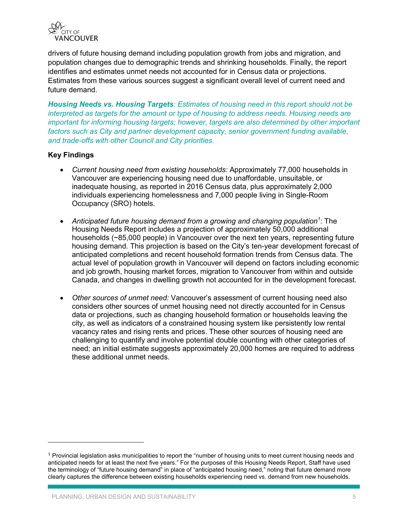

drivers of future housing demand including population growth from jobs and migration, and population changes due to demographic trends and shrinking households. Finally, the report identifies and estimates unmet needs not accounted for in Census data or projections. Estimates from these various sources suggest a significant overall level of current need and future demand.

*Housing Needs vs. Housing Targets: Estimates of housing need in this report should not be interpreted as targets for the amount or type of housing to address needs. Housing needs are important for informing housing targets; however, targets are also determined by other important factors such as City and partner development capacity, senior government funding available, and trade-offs with other Council and City priorities.* 

### **Key Findings**

 $\ddot{\phantom{a}}$ 

- *Current housing need from existing households:* Approximately 77,000 households in Vancouver are experiencing housing need due to unaffordable, unsuitable, or inadequate housing, as reported in 2016 Census data, plus approximately 2,000 individuals experiencing homelessness and 7,000 people living in Single-Room Occupancy (SRO) hotels.
- *Anticipated future housing demand from a growing and changing population<sup>1</sup>* : The Housing Needs Report includes a projection of approximately 50,000 additional households (~85,000 people) in Vancouver over the next ten years, representing future housing demand. This projection is based on the City's ten-year development forecast of anticipated completions and recent household formation trends from Census data. The actual level of population growth in Vancouver will depend on factors including economic and job growth, housing market forces, migration to Vancouver from within and outside Canada, and changes in dwelling growth not accounted for in the development forecast.
- *Other sources of unmet need:* Vancouver's assessment of current housing need also considers other sources of unmet housing need not directly accounted for in Census data or projections, such as changing household formation or households leaving the city, as well as indicators of a constrained housing system like persistently low rental vacancy rates and rising rents and prices. These other sources of housing need are challenging to quantify and involve potential double counting with other categories of need; an initial estimate suggests approximately 20,000 homes are required to address these additional unmet needs.

<sup>&</sup>lt;sup>1</sup> Provincial legislation asks municipalities to report the "number of housing units to meet current housing needs and anticipated needs for at least the next five years." For the purposes of this Housing Needs Report, Staff have used the terminology of "future housing demand" in place of "anticipated housing need," noting that future demand more clearly captures the difference between existing households experiencing need vs. demand from new households.